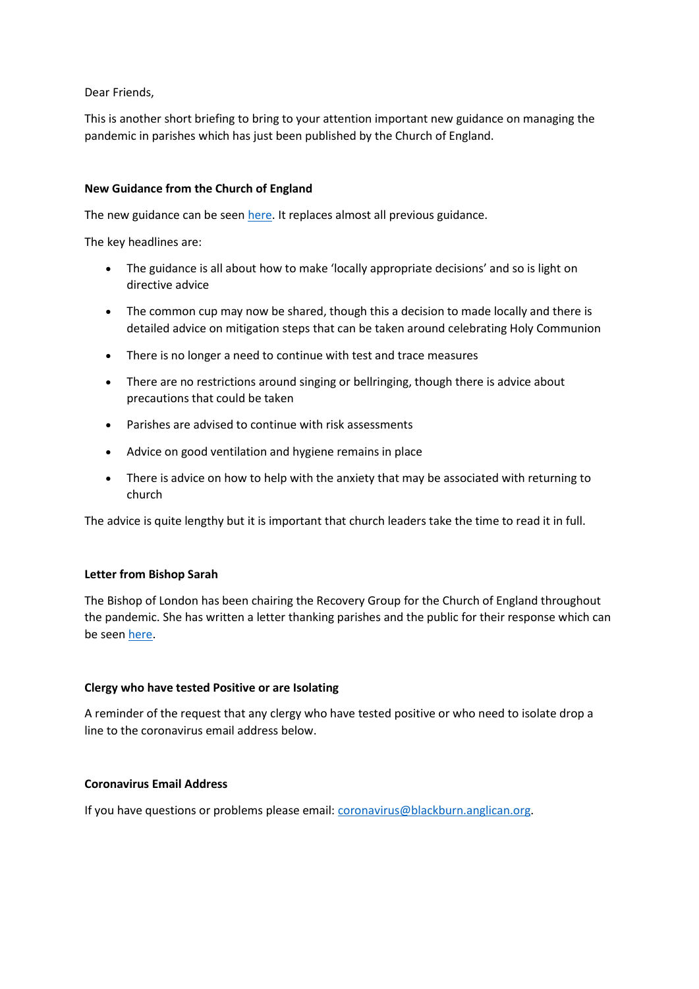Dear Friends,

This is another short briefing to bring to your attention important new guidance on managing the pandemic in parishes which has just been published by the Church of England.

## **New Guidance from the Church of England**

The new guidance can be seen [here.](https://www.churchofengland.org/sites/default/files/2022-01/COVID%2019%20Guidance%20v2.4_0.pdf) It replaces almost all previous guidance.

The key headlines are:

- The guidance is all about how to make 'locally appropriate decisions' and so is light on directive advice
- The common cup may now be shared, though this a decision to made locally and there is detailed advice on mitigation steps that can be taken around celebrating Holy Communion
- There is no longer a need to continue with test and trace measures
- There are no restrictions around singing or bellringing, though there is advice about precautions that could be taken
- Parishes are advised to continue with risk assessments
- Advice on good ventilation and hygiene remains in place
- There is advice on how to help with the anxiety that may be associated with returning to church

The advice is quite lengthy but it is important that church leaders take the time to read it in full.

### **Letter from Bishop Sarah**

The Bishop of London has been chairing the Recovery Group for the Church of England throughout the pandemic. She has written a letter thanking parishes and the public for their response which can be seen [here.](https://www.churchofengland.org/media-and-news/press-releases/your-sacrifices-have-saved-lives-bishop-thanks-parishes-and-public)

### **Clergy who have tested Positive or are Isolating**

A reminder of the request that any clergy who have tested positive or who need to isolate drop a line to the coronavirus email address below.

### **Coronavirus Email Address**

If you have questions or problems please email: [coronavirus@blackburn.anglican.org.](mailto:coronavirus@blackburn.anglican.org)